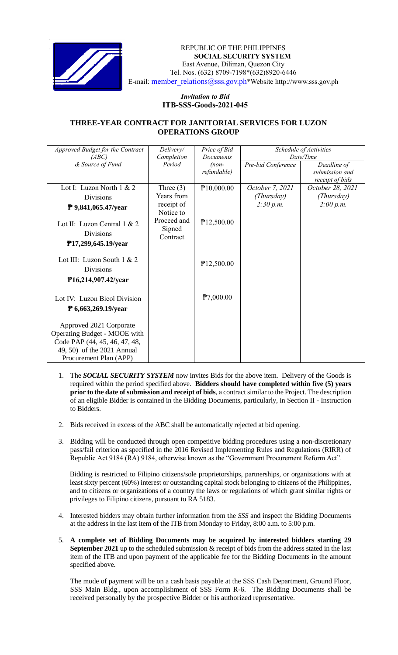

 *Invitation to Bid* REPUBLIC OF THE PHILIPPINES **SOCIAL SECURITY SYSTEM** East Avenue, Diliman, Quezon City Tel. Nos. (632) 8709-7198\*(632)8920-6446 E-mail: member\_relations@sss.gov.ph\*Website http://www.sss.gov.ph

## *Invitation to Bid*  **ITB-SSS-Goods-2021-045**

## **THREE-YEAR CONTRACT FOR JANITORIAL SERVICES FOR LUZON OPERATIONS GROUP**

| Approved Budget for the Contract | Delivery/   | Price of Bid          | Schedule of Activities |                  |
|----------------------------------|-------------|-----------------------|------------------------|------------------|
| (ABC)                            | Completion  | Documents             | Date/Time              |                  |
| & Source of Fund                 | Period      | $(non-$               | Pre-bid Conference     | Deadline of      |
|                                  |             | refundable)           |                        | submission and   |
|                                  |             |                       |                        | receipt of bids  |
| Lot I: Luzon North 1 & 2         | Three $(3)$ | $\mathbb{P}10,000.00$ | October 7, 2021        | October 28, 2021 |
| Divisions                        | Years from  |                       | (Thursday)             | (Thursday)       |
| P 9,841,065.47/year              | receipt of  |                       | 2:30 p.m.              | 2:00 p.m.        |
|                                  | Notice to   |                       |                        |                  |
| Lot II: Luzon Central 1 & 2      | Proceed and | P12,500.00            |                        |                  |
| <b>Divisions</b>                 | Signed      |                       |                        |                  |
|                                  | Contract    |                       |                        |                  |
| P17,299,645.19/year              |             |                       |                        |                  |
|                                  |             |                       |                        |                  |
| Lot III: Luzon South $1 & 2$     |             | P12,500.00            |                        |                  |
| <b>Divisions</b>                 |             |                       |                        |                  |
| P16,214,907.42/year              |             |                       |                        |                  |
|                                  |             |                       |                        |                  |
|                                  |             | P7,000.00             |                        |                  |
| Lot IV: Luzon Bicol Division     |             |                       |                        |                  |
| $\bar{P}$ 6,663,269.19/year      |             |                       |                        |                  |
|                                  |             |                       |                        |                  |
| Approved 2021 Corporate          |             |                       |                        |                  |
| Operating Budget - MOOE with     |             |                       |                        |                  |
| Code PAP (44, 45, 46, 47, 48,    |             |                       |                        |                  |
| 49, 50) of the 2021 Annual       |             |                       |                        |                  |
| Procurement Plan (APP)           |             |                       |                        |                  |

- 1. The *SOCIAL SECURITY SYSTEM* now invites Bids for the above item. Delivery of the Goods is required within the period specified above. **Bidders should have completed within five (5) years prior to the date of submission and receipt of bids**, a contract similar to the Project. The description of an eligible Bidder is contained in the Bidding Documents, particularly, in Section II - Instruction to Bidders.
- 2. Bids received in excess of the ABC shall be automatically rejected at bid opening.
- 3. Bidding will be conducted through open competitive bidding procedures using a non-discretionary pass/fail criterion as specified in the 2016 Revised Implementing Rules and Regulations (RIRR) of Republic Act 9184 (RA) 9184, otherwise known as the "Government Procurement Reform Act".

Bidding is restricted to Filipino citizens/sole proprietorships, partnerships, or organizations with at least sixty percent (60%) interest or outstanding capital stock belonging to citizens of the Philippines, and to citizens or organizations of a country the laws or regulations of which grant similar rights or privileges to Filipino citizens, pursuant to RA 5183.

- 4. Interested bidders may obtain further information from the *SSS* and inspect the Bidding Documents at the address in the last item of the ITB from Monday to Friday, 8:00 a.m. to 5:00 p.m.
- 5. **A complete set of Bidding Documents may be acquired by interested bidders starting 29 September 2021** up to the scheduled submission & receipt of bids from the address stated in the last item of the ITB and upon payment of the applicable fee for the Bidding Documents in the amount specified above.

The mode of payment will be on a cash basis payable at the SSS Cash Department, Ground Floor, SSS Main Bldg., upon accomplishment of SSS Form R-6. The Bidding Documents shall be received personally by the prospective Bidder or his authorized representative.